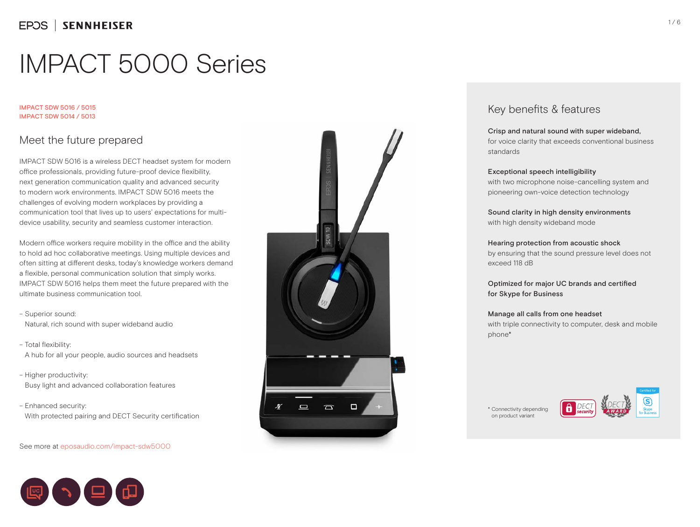#### IMPACT SDW 5016 / 5015 IMPACT SDW 5014 / 5013

## Meet the future prepared

IMPACT SDW 5016 is a wireless DECT headset system for modern office professionals, providing future-proof device flexibility, next generation communication quality and advanced security to modern work environments. IMPACT SDW 5016 meets the challenges of evolving modern workplaces by providing a communication tool that lives up to users' expectations for multidevice usability, security and seamless customer interaction.

Modern office workers require mobility in the office and the ability to hold ad hoc collaborative meetings. Using multiple devices and often sitting at different desks, today's knowledge workers demand a flexible, personal communication solution that simply works. IMPACT SDW 5016 helps them meet the future prepared with the ultimate business communication tool.

- Superior sound: Natural, rich sound with super wideband audio
- Total flexibility: A hub for all your people, audio sources and headsets
- Higher productivity: Busy light and advanced collaboration features

– Enhanced security: With protected pairing and DECT Security certification

### See more at eposaudio.com/impact-sdw5000





## Key benefits & features

## Crisp and natural sound with super wideband,

for voice clarity that exceeds conventional business standards

### Exceptional speech intelligibility

with two microphone noise-cancelling system and pioneering own-voice detection technology

Sound clarity in high density environments with high density wideband mode

### Hearing protection from acoustic shock

by ensuring that the sound pressure level does not exceed 118 dB

Optimized for major UC brands and certified for Skype for Business

### Manage all calls from one headset

with triple connectivity to computer, desk and mobile phone\*

\* Connectivity depending on product variant

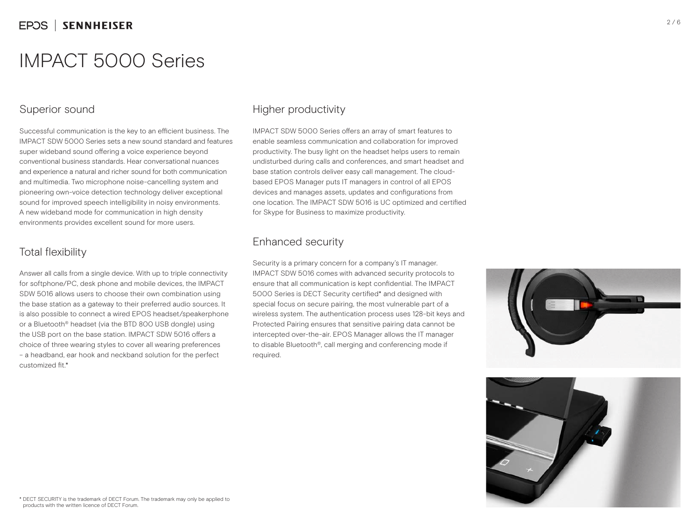## Superior sound

Successful communication is the key to an efficient business. The IMPACT SDW 5000 Series sets a new sound standard and features super wideband sound offering a voice experience beyond conventional business standards. Hear conversational nuances and experience a natural and richer sound for both communication and multimedia. Two microphone noise-cancelling system and pioneering own-voice detection technology deliver exceptional sound for improved speech intelligibility in noisy environments. A new wideband mode for communication in high density environments provides excellent sound for more users.

## Total flexibility

Answer all calls from a single device. With up to triple connectivity for softphone/PC, desk phone and mobile devices, the IMPACT SDW 5016 allows users to choose their own combination using the base station as a gateway to their preferred audio sources. It is also possible to connect a wired EPOS headset/speakerphone or a Bluetooth® headset (via the BTD 800 USB dongle) using the USB port on the base station. IMPACT SDW 5016 offers a choice of three wearing styles to cover all wearing preferences – a headband, ear hook and neckband solution for the perfect customized fit<sup>\*</sup>

## Higher productivity

IMPACT SDW 5000 Series offers an array of smart features to enable seamless communication and collaboration for improved productivity. The busy light on the headset helps users to remain undisturbed during calls and conferences, and smart headset and base station controls deliver easy call management. The cloudbased EPOS Manager puts IT managers in control of all EPOS devices and manages assets, updates and configurations from one location. The IMPACT SDW 5016 is UC optimized and certified for Skype for Business to maximize productivity.

## Enhanced security

Security is a primary concern for a company's IT manager. IMPACT SDW 5016 comes with advanced security protocols to ensure that all communication is kept confidential. The IMPACT 5000 Series is DECT Security certified\* and designed with special focus on secure pairing, the most vulnerable part of a wireless system. The authentication process uses 128-bit keys and Protected Pairing ensures that sensitive pairing data cannot be intercepted over-the-air. EPOS Manager allows the IT manager to disable Bluetooth®, call merging and conferencing mode if required.



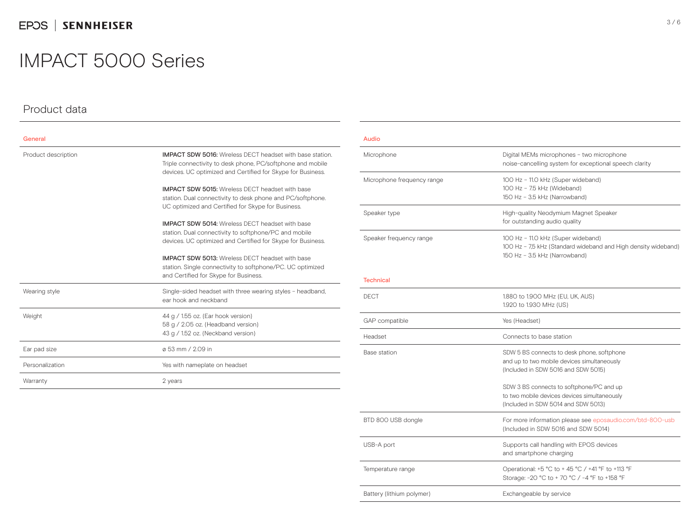## EPOS | SENNHEISER

## IMPACT 5000 Series

## Product data

| General             |                                                                                                                                                                                               |
|---------------------|-----------------------------------------------------------------------------------------------------------------------------------------------------------------------------------------------|
| Product description | <b>IMPACT SDW 5016:</b> Wireless DFCT headset with base station.<br>Triple connectivity to desk phone, PC/softphone and mobile<br>devices. UC optimized and Certified for Skype for Business. |
|                     | <b>IMPACT SDW 5015:</b> Wireless DECT headset with base<br>station. Dual connectivity to desk phone and PC/softphone.<br>UC optimized and Certified for Skype for Business.                   |
|                     | <b>IMPACT SDW 5014:</b> Wireless DFCT headset with base<br>station. Dual connectivity to softphone/PC and mobile<br>devices. UC optimized and Certified for Skype for Business.               |
|                     | <b>IMPACT SDW 5013:</b> Wireless DECT headset with base<br>station. Single connectivity to softphone/PC. UC optimized<br>and Certified for Skype for Business.                                |
| Wearing style       | Single-sided headset with three wearing styles - headband,<br>ear hook and neckband                                                                                                           |
| Weight              | 44 g / 1.55 oz. (Ear hook version)<br>58 g / 2.05 oz. (Headband version)<br>43 g / 1.52 oz. (Neckband version)                                                                                |
| Ear pad size        | ø 53 mm / 2.09 in                                                                                                                                                                             |
| Personalization     | Yes with nameplate on headset                                                                                                                                                                 |
| Warranty            | 2 years                                                                                                                                                                                       |

#### Audio

| Microphone                 | Digital MEMs microphones - two microphone<br>noise-cancelling system for exceptional speech clarity                                   |
|----------------------------|---------------------------------------------------------------------------------------------------------------------------------------|
| Microphone frequency range | 100 Hz - 11.0 kHz (Super wideband)<br>100 Hz - 7.5 kHz (Wideband)<br>150 Hz - 3.5 kHz (Narrowband)                                    |
| Speaker type               | High-quality Neodymium Magnet Speaker<br>for outstanding audio quality                                                                |
| Speaker frequency range    | 100 Hz - 11.0 kHz (Super wideband)<br>100 Hz - 7,5 kHz (Standard wideband and High density wideband)<br>150 Hz - 3.5 kHz (Narrowband) |

#### Technical

| DECT                      | 1.880 to 1.900 MHz (EU, UK, AUS)<br>1.920 to 1.930 MHz (US)                                                                      |
|---------------------------|----------------------------------------------------------------------------------------------------------------------------------|
| GAP compatible            | Yes (Headset)                                                                                                                    |
| Headset                   | Connects to base station                                                                                                         |
| Base station              | SDW 5 BS connects to desk phone, softphone<br>and up to two mobile devices simultaneously<br>(Included in SDW 5016 and SDW 5015) |
|                           | SDW 3 BS connects to softphone/PC and up<br>to two mobile devices devices simultaneously<br>(Included in SDW 5014 and SDW 5013)  |
| BTD 800 USB dongle        | For more information please see eposaudio.com/btd-800-usb<br>(Included in SDW 5016 and SDW 5014)                                 |
| USB-A port                | Supports call handling with EPOS devices<br>and smartphone charging                                                              |
| Temperature range         | Operational: +5 °C to + 45 °C / +41 °F to +113 °F<br>Storage: -20 °C to + 70 °C / -4 °F to +158 °F                               |
| Battery (lithium polymer) | Exchangeable by service                                                                                                          |
|                           |                                                                                                                                  |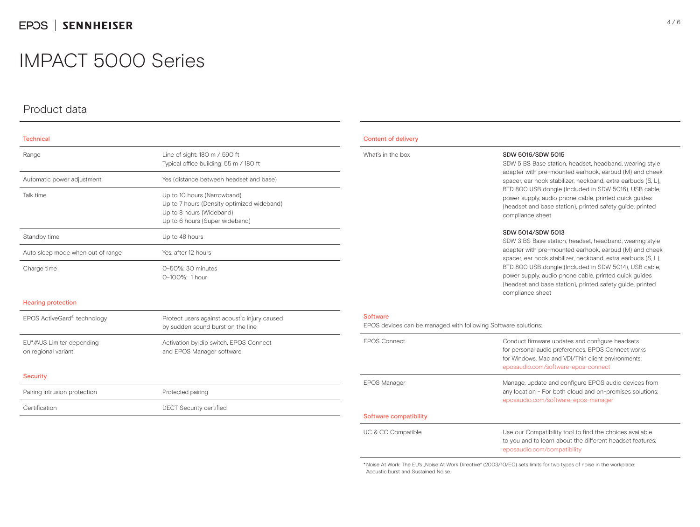## Product data

| <b>Technical</b>                  |                                                                                                                                         |
|-----------------------------------|-----------------------------------------------------------------------------------------------------------------------------------------|
| Range                             | Line of sight: 180 m / 590 ft<br>Typical office building: 55 m / 180 ft                                                                 |
| Automatic power adjustment        | Yes (distance between headset and base)                                                                                                 |
| Talk time                         | Up to 10 hours (Narrowband)<br>Up to 7 hours (Density optimized wideband)<br>Up to 8 hours (Wideband)<br>Up to 6 hours (Super wideband) |
| Standby time                      | Up to 48 hours                                                                                                                          |
| Auto sleep mode when out of range | Yes, after 12 hours                                                                                                                     |
| Charge time                       | 0-50%: 30 minutes<br>$0-100\%$ ; 1 hour                                                                                                 |

#### Hearing protection

EPOS ActiveGard® technology Protect users against acoustic injury caused by sudden sound burst on the line EU\*/AUS Limiter depending on regional variant Activation by dip switch, EPOS Connect and EPOS Manager software

#### **Security**

| Pairing intrusion protection | Protected pairing              |
|------------------------------|--------------------------------|
| Certification                | <b>DECT Security certified</b> |

#### Content of delivery

#### What's in the box SDW 5016/SDW 5015

SDW 5 BS Base station, headset, headband, wearing style adapter with pre-mounted earhook, earbud (M) and cheek spacer, ear hook stabilizer, neckband, extra earbuds (S, L), BTD 800 USB dongle (Included in SDW 5016), USB cable, power supply, audio phone cable, printed quick guides (headset and base station), printed safety guide, printed compliance sheet

#### SDW 5014/SDW 5013

SDW 3 BS Base station, headset, headband, wearing style adapter with pre-mounted earhook, earbud (M) and cheek spacer, ear hook stabilizer, neckband, extra earbuds (S, L), BTD 800 USB dongle (Included in SDW 5014), USB cable, power supply, audio phone cable, printed quick guides (headset and base station), printed safety guide, printed compliance sheet

#### Software

EPOS devices can be managed with following Software solutions:

| <b>FPOS Connect</b>    | Conduct firmware updates and configure headsets<br>for personal audio preferences. EPOS Connect works<br>for Windows, Mac and VDI/Thin client environments:<br>eposaudio.com/software-epos-connect |
|------------------------|----------------------------------------------------------------------------------------------------------------------------------------------------------------------------------------------------|
| <b>EPOS Manager</b>    | Manage, update and configure EPOS audio devices from<br>any location - For both cloud and on-premises solutions:<br>eposaudio.com/software-epos-manager                                            |
| Software compatibility |                                                                                                                                                                                                    |
| UC & CC Compatible     | Use our Compatibility tool to find the choices available<br>to you and to learn about the different headset features:<br>eposaudio.com/compatibility                                               |

\* Noise At Work: The EU's "Noise At Work Directive" (2003/10/EC) sets limits for two types of noise in the workplace: Acoustic burst and Sustained Noise.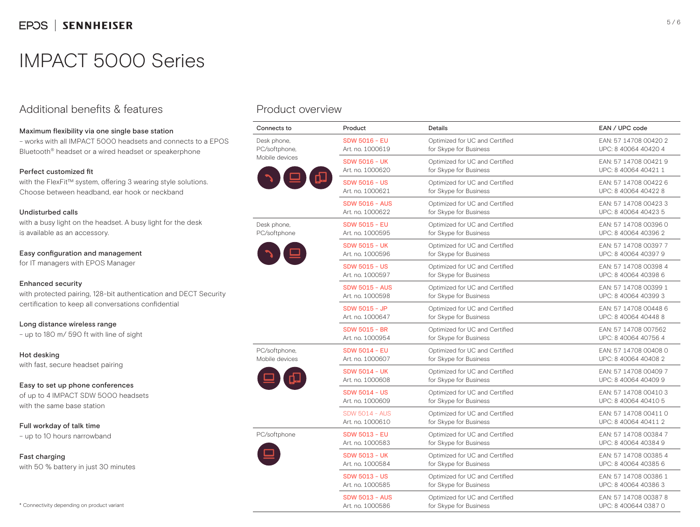## Additional benefits & features

### Maximum flexibility via one single base station

– works with all IMPACT 5000 headsets and connects to a EPOS Bluetooth® headset or a wired headset or speakerphone

### Perfect customized fit

with the FlexFit™ system, offering 3 wearing style solutions. Choose between headband, ear hook or neckband

### Undisturbed calls

with a busy light on the headset. A busy light for the desk is available as an accessory.

### Easy configuration and management

for IT managers with EPOS Manager

### Enhanced security

with protected pairing, 128-bit authentication and DECT Security certification to keep all conversations confidential

Long distance wireless range – up to 180 m/ 590 ft with line of sight

Hot desking

with fast, secure headset pairing

Easy to set up phone conferences of up to 4 IMPACT SDW 5000 headsets with the same base station

Full workday of talk time – up to 10 hours narrowband

Fast charging with 50 % battery in just 30 minutes

## Product overview

| Connects to                                    | Product                                   | Details                                                  | EAN / UPC code                                |
|------------------------------------------------|-------------------------------------------|----------------------------------------------------------|-----------------------------------------------|
| Desk phone,<br>PC/softphone.<br>Mobile devices | <b>SDW 5016 - EU</b><br>Art. no. 1000619  | Optimized for UC and Certified<br>for Skype for Business | EAN: 57 14708 00420 2<br>UPC: 8 40064 40420 4 |
|                                                | <b>SDW 5016 - UK</b><br>Art. no. 1000620  | Optimized for UC and Certified<br>for Skype for Business | EAN: 57 14708 00421 9<br>UPC: 8 40064 40421 1 |
|                                                | <b>SDW 5016 - US</b><br>Art. no. 1000621  | Optimized for UC and Certified<br>for Skype for Business | EAN: 57 14708 00422 6<br>UPC: 8 40064 40422 8 |
|                                                | <b>SDW 5016 - AUS</b><br>Art. no. 1000622 | Optimized for UC and Certified<br>for Skype for Business | EAN: 57 14708 00423 3<br>UPC: 8 40064 40423 5 |
| Desk phone,<br>PC/softphone                    | <b>SDW 5015 - EU</b><br>Art. no. 1000595  | Optimized for UC and Certified<br>for Skype for Business | EAN: 57 14708 00396 0<br>UPC: 8 40064 40396 2 |
|                                                | <b>SDW 5015 - UK</b><br>Art. no. 1000596  | Optimized for UC and Certified<br>for Skype for Business | EAN: 57 14708 00397 7<br>UPC: 8 40064 40397 9 |
|                                                | <b>SDW 5015 - US</b><br>Art. no. 1000597  | Optimized for UC and Certified<br>for Skype for Business | EAN: 57 14708 00398 4<br>UPC: 8 40064 40398 6 |
|                                                | <b>SDW 5015 - AUS</b><br>Art. no. 1000598 | Optimized for UC and Certified<br>for Skype for Business | EAN: 57 14708 00399 1<br>UPC: 8 40064 40399 3 |
|                                                | SDW 5015 - JP<br>Art. no. 1000647         | Optimized for UC and Certified<br>for Skype for Business | EAN: 57 14708 00448 6<br>UPC: 8 40064 40448 8 |
|                                                | <b>SDW 5015 - BR</b><br>Art. no. 1000954  | Optimized for UC and Certified<br>for Skype for Business | EAN: 57 14708 007562<br>UPC: 8 40064 40756 4  |
| PC/softphone,<br>Mobile devices                | <b>SDW 5014 - EU</b><br>Art. no. 1000607  | Optimized for UC and Certified<br>for Skype for Business | EAN: 57 14708 00408 0<br>UPC: 8 40064 40408 2 |
|                                                | <b>SDW 5014 - UK</b><br>Art. no. 1000608  | Optimized for UC and Certified<br>for Skype for Business | EAN: 57 14708 00409 7<br>UPC: 8 40064 40409 9 |
|                                                | <b>SDW 5014 - US</b><br>Art. no. 1000609  | Optimized for UC and Certified<br>for Skype for Business | EAN: 57 14708 00410 3<br>UPC: 8 40064 40410 5 |
|                                                | <b>SDW 5014 - AUS</b><br>Art. no. 1000610 | Optimized for UC and Certified<br>for Skype for Business | EAN: 57 14708 00411 0<br>UPC: 8 40064 40411 2 |
| PC/softphone                                   | <b>SDW 5013 - EU</b><br>Art. no. 1000583  | Optimized for UC and Certified<br>for Skype for Business | EAN: 57 14708 00384 7<br>UPC: 8 40064 40384 9 |
|                                                | <b>SDW 5013 - UK</b><br>Art. no. 1000584  | Optimized for UC and Certified<br>for Skype for Business | EAN: 57 14708 00385 4<br>UPC: 8 40064 40385 6 |
|                                                | <b>SDW 5013 - US</b><br>Art. no. 1000585  | Optimized for UC and Certified<br>for Skype for Business | EAN: 57 14708 00386 1<br>UPC: 8 40064 40386 3 |
|                                                | <b>SDW 5013 - AUS</b><br>Art. no. 1000586 | Optimized for UC and Certified<br>for Skype for Business | EAN: 57 14708 00387 8<br>UPC: 8 400644 0387 0 |